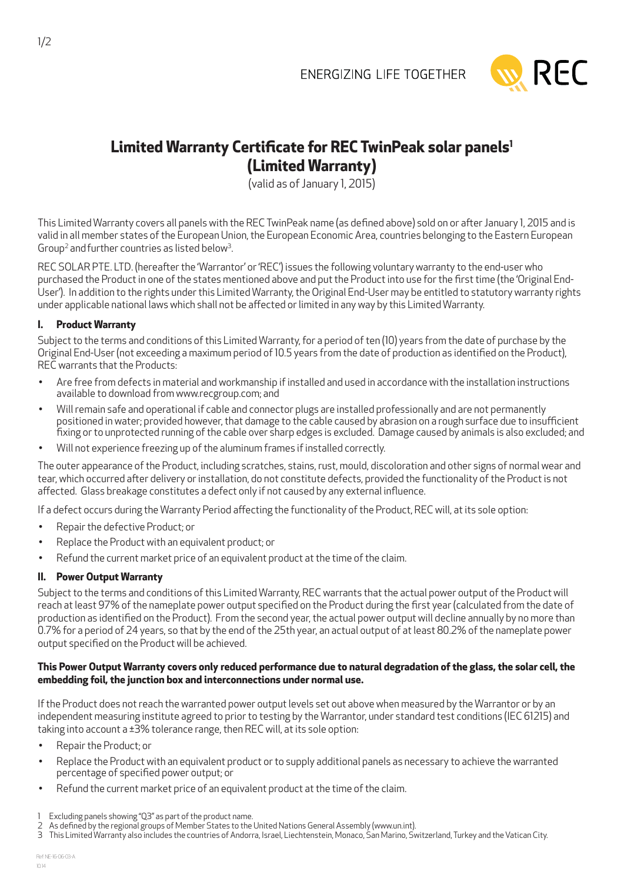

# **Limited Warranty Certificate for REC TwinPeak solar panels1 (Limited Warranty)**

(valid as of January 1, 2015)

This Limited Warranty covers all panels with the REC TwinPeak name (as defined above) sold on or after January 1, 2015 and is valid in all member states of the European Union, the European Economic Area, countries belonging to the Eastern European Group<sup>2</sup> and further countries as listed below<sup>3</sup> .

REC SOLAR PTE. LTD. (hereafter the 'Warrantor' or 'REC') issues the following voluntary warranty to the end-user who purchased the Product in one of the states mentioned above and put the Product into use for the first time (the 'Original End-User'). In addition to the rights under this Limited Warranty, the Original End-User may be entitled to statutory warranty rights under applicable national laws which shall not be affected or limited in any way by this Limited Warranty.

# **I. Product Warranty**

Subject to the terms and conditions of this Limited Warranty, for a period of ten (10) years from the date of purchase by the Original End-User (not exceeding a maximum period of 10.5 years from the date of production as identified on the Product), REC warrants that the Products:

- Are free from defects in material and workmanship if installed and used in accordance with the installation instructions available to download from www.recgroup.com; and
- Will remain safe and operational if cable and connector plugs are installed professionally and are not permanently positioned in water; provided however, that damage to the cable caused by abrasion on a rough surface due to insufficient fixing or to unprotected running of the cable over sharp edges is excluded. Damage caused by animals is also excluded; and
- Will not experience freezing up of the aluminum frames if installed correctly.

The outer appearance of the Product, including scratches, stains, rust, mould, discoloration and other signs of normal wear and tear, which occurred after delivery or installation, do not constitute defects, provided the functionality of the Product is not affected. Glass breakage constitutes a defect only if not caused by any external influence.

If a defect occurs during the Warranty Period affecting the functionality of the Product, REC will, at its sole option:

- Repair the defective Product: or
- Replace the Product with an equivalent product; or
- Refund the current market price of an equivalent product at the time of the claim.

# **II. Power Output Warranty**

Subject to the terms and conditions of this Limited Warranty, REC warrants that the actual power output of the Product will reach at least 97% of the nameplate power output specified on the Product during the first year (calculated from the date of production as identified on the Product). From the second year, the actual power output will decline annually by no more than 0.7% for a period of 24 years, so that by the end of the 25th year, an actual output of at least 80.2% of the nameplate power output specified on the Product will be achieved.

### **This Power Output Warranty covers only reduced performance due to natural degradation of the glass, the solar cell, the embedding foil, the junction box and interconnections under normal use.**

If the Product does not reach the warranted power output levels set out above when measured by the Warrantor or by an independent measuring institute agreed to prior to testing by the Warrantor, under standard test conditions (IEC 61215) and taking into account a ±3% tolerance range, then REC will, at its sole option:

- Repair the Product; or
- Replace the Product with an equivalent product or to supply additional panels as necessary to achieve the warranted percentage of specified power output; or
- Refund the current market price of an equivalent product at the time of the claim.

<sup>1</sup> Excluding panels showing "Q3" as part of the product name.

<sup>2</sup> As defined by the regional groups of Member States to the United Nations General Assembly (www.un.int).

<sup>3</sup> This Limited Warranty also includes the countries of Andorra, Israel, Liechtenstein, Monaco, San Marino, Switzerland, Turkey and the Vatican City.